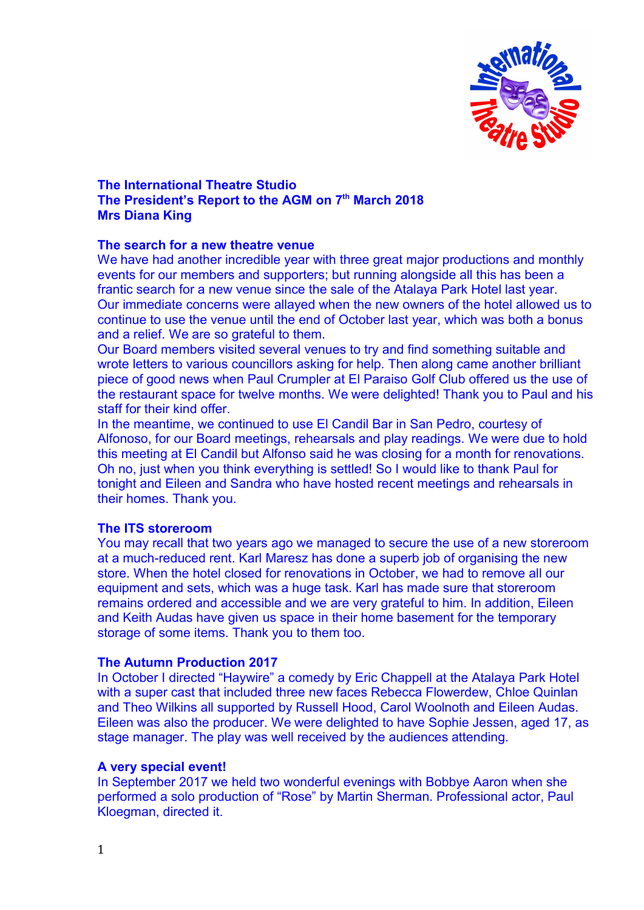

# **The International Theatre Studio The President's Report to the AGM on 7th March 2018 Mrs Diana King**

## **The search for a new theatre venue**

We have had another incredible year with three great major productions and monthly events for our members and supporters; but running alongside all this has been a frantic search for a new venue since the sale of the Atalaya Park Hotel last year. Our immediate concerns were allayed when the new owners of the hotel allowed us to continue to use the venue until the end of October last year, which was both a bonus and a relief. We are so grateful to them.

Our Board members visited several venues to try and find something suitable and wrote letters to various councillors asking for help. Then along came another brilliant piece of good news when Paul Crumpler at El Paraiso Golf Club offered us the use of the restaurant space for twelve months. We were delighted! Thank you to Paul and his staff for their kind offer.

In the meantime, we continued to use El Candil Bar in San Pedro, courtesy of Alfonoso, for our Board meetings, rehearsals and play readings. We were due to hold this meeting at El Candil but Alfonso said he was closing for a month for renovations. Oh no, just when you think everything is settled! So I would like to thank Paul for tonight and Eileen and Sandra who have hosted recent meetings and rehearsals in their homes. Thank you.

# **The ITS storeroom**

You may recall that two years ago we managed to secure the use of a new storeroom at a much-reduced rent. Karl Maresz has done a superb job of organising the new store. When the hotel closed for renovations in October, we had to remove all our equipment and sets, which was a huge task. Karl has made sure that storeroom remains ordered and accessible and we are very grateful to him. In addition, Eileen and Keith Audas have given us space in their home basement for the temporary storage of some items. Thank you to them too.

# **The Autumn Production 2017**

In October I directed "Haywire" a comedy by Eric Chappell at the Atalaya Park Hotel with a super cast that included three new faces Rebecca Flowerdew, Chloe Quinlan and Theo Wilkins all supported by Russell Hood, Carol Woolnoth and Eileen Audas. Eileen was also the producer. We were delighted to have Sophie Jessen, aged 17, as stage manager. The play was well received by the audiences attending.

### **A very special event!**

In September 2017 we held two wonderful evenings with Bobbye Aaron when she performed a solo production of "Rose" by Martin Sherman. Professional actor, Paul Kloegman, directed it.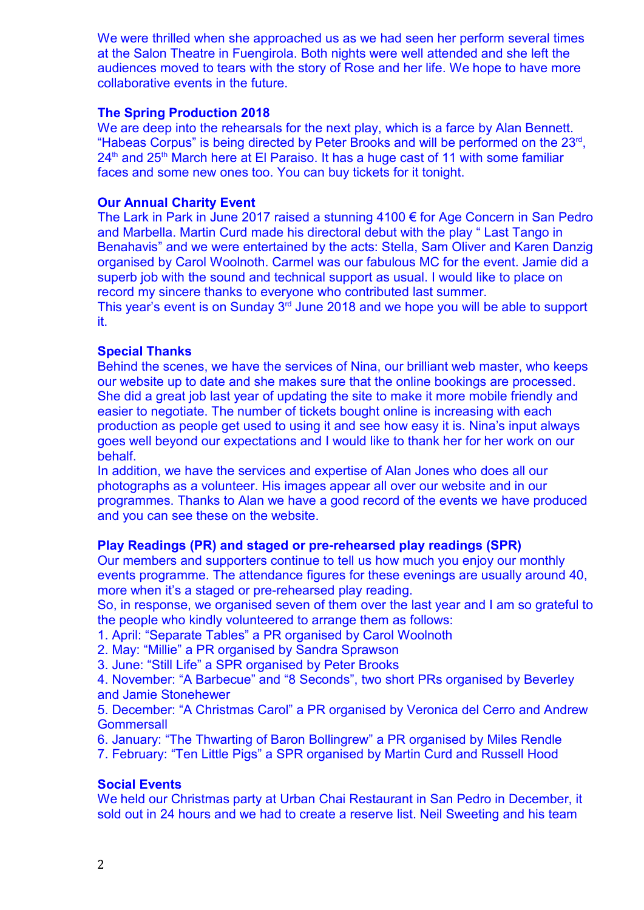We were thrilled when she approached us as we had seen her perform several times at the Salon Theatre in Fuengirola. Both nights were well attended and she left the audiences moved to tears with the story of Rose and her life. We hope to have more collaborative events in the future.

## **The Spring Production 2018**

We are deep into the rehearsals for the next play, which is a farce by Alan Bennett. "Habeas Corpus" is being directed by Peter Brooks and will be performed on the 23rd , 24<sup>th</sup> and 25<sup>th</sup> March here at El Paraiso. It has a huge cast of 11 with some familiar faces and some new ones too. You can buy tickets for it tonight.

## **Our Annual Charity Event**

The Lark in Park in June 2017 raised a stunning 4100 € for Age Concern in San Pedro and Marbella. Martin Curd made his directoral debut with the play " Last Tango in Benahavis" and we were entertained by the acts: Stella, Sam Oliver and Karen Danzig organised by Carol Woolnoth. Carmel was our fabulous MC for the event. Jamie did a superb job with the sound and technical support as usual. I would like to place on record my sincere thanks to everyone who contributed last summer.

This year's event is on Sunday 3<sup>rd</sup> June 2018 and we hope you will be able to support it.

## **Special Thanks**

Behind the scenes, we have the services of Nina, our brilliant web master, who keeps our website up to date and she makes sure that the online bookings are processed. She did a great job last year of updating the site to make it more mobile friendly and easier to negotiate. The number of tickets bought online is increasing with each production as people get used to using it and see how easy it is. Nina's input always goes well beyond our expectations and I would like to thank her for her work on our behalf.

In addition, we have the services and expertise of Alan Jones who does all our photographs as a volunteer. His images appear all over our website and in our programmes. Thanks to Alan we have a good record of the events we have produced and you can see these on the website.

# **Play Readings (PR) and staged or pre-rehearsed play readings (SPR)**

Our members and supporters continue to tell us how much you enjoy our monthly events programme. The attendance figures for these evenings are usually around 40, more when it's a staged or pre-rehearsed play reading.

So, in response, we organised seven of them over the last year and I am so grateful to the people who kindly volunteered to arrange them as follows:

- 1. April: "Separate Tables" a PR organised by Carol Woolnoth
- 2. May: "Millie" a PR organised by Sandra Sprawson
- 3. June: "Still Life" a SPR organised by Peter Brooks

4. November: "A Barbecue" and "8 Seconds", two short PRs organised by Beverley and Jamie Stonehewer

5. December: "A Christmas Carol" a PR organised by Veronica del Cerro and Andrew **Gommersall** 

6. January: "The Thwarting of Baron Bollingrew" a PR organised by Miles Rendle

7. February: "Ten Little Pigs" a SPR organised by Martin Curd and Russell Hood

# **Social Events**

We held our Christmas party at Urban Chai Restaurant in San Pedro in December, it sold out in 24 hours and we had to create a reserve list. Neil Sweeting and his team